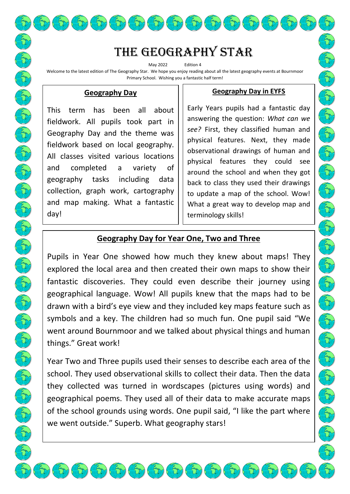The Geography star

May 2022 Edition 4 Welcome to the latest edition of The Geography Star. We hope you enjoy reading about all the latest geography events at Bournmoor Primary School. Wishing you a fantastic half term!

#### **Geography Day**

This term has been all about fieldwork. All pupils took part in Geography Day and the theme was fieldwork based on local geography. All classes visited various locations and completed a variety of geography tasks including data collection, graph work, cartography and map making. What a fantastic day!

### **Geography Day in EYFS**

Early Years pupils had a fantastic day answering the question: *What can we see?* First, they classified human and physical features. Next, they made observational drawings of human and physical features they could see around the school and when they got back to class they used their drawings to update a map of the school. Wow! What a great way to develop map and terminology skills!

## **Geography Day for Year One, Two and Three**

Pupils in Year One showed how much they knew about maps! They explored the local area and then created their own maps to show their fantastic discoveries. They could even describe their journey using geographical language. Wow! All pupils knew that the maps had to be drawn with a bird's eye view and they included key maps feature such as symbols and a key. The children had so much fun. One pupil said "We went around Bournmoor and we talked about physical things and human things." Great work!

Year Two and Three pupils used their senses to describe each area of the school. They used observational skills to collect their data. Then the data they collected was turned in wordscapes (pictures using words) and geographical poems. They used all of their data to make accurate maps of the school grounds using words. One pupil said, "I like the part where we went outside." Superb. What geography stars!